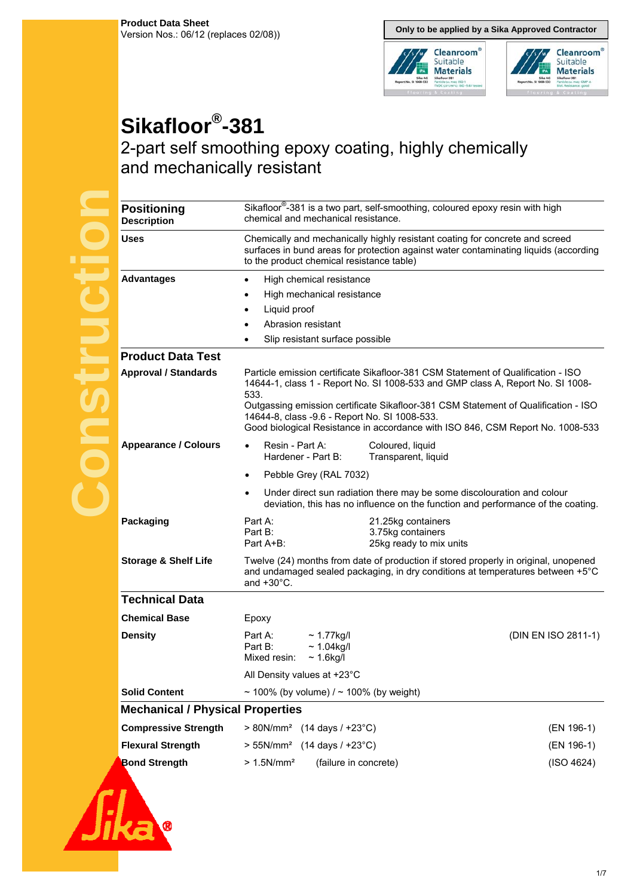**Only to be applied by a Sika Approved Contractor**



# **Sikafloor®-381**

# 2-part self smoothing epoxy coating, highly chemically and mechanically resistant

| <b>Positioning</b><br><b>Description</b> | chemical and mechanical resistance.                                                     | Sikafloor <sup>®</sup> -381 is a two part, self-smoothing, coloured epoxy resin with high                                                                                                                                                                                                                                                  |                     |
|------------------------------------------|-----------------------------------------------------------------------------------------|--------------------------------------------------------------------------------------------------------------------------------------------------------------------------------------------------------------------------------------------------------------------------------------------------------------------------------------------|---------------------|
| Uses                                     | to the product chemical resistance table)                                               | Chemically and mechanically highly resistant coating for concrete and screed<br>surfaces in bund areas for protection against water contaminating liquids (according                                                                                                                                                                       |                     |
| <b>Advantages</b>                        | High chemical resistance<br>$\bullet$                                                   |                                                                                                                                                                                                                                                                                                                                            |                     |
|                                          | High mechanical resistance<br>$\bullet$                                                 |                                                                                                                                                                                                                                                                                                                                            |                     |
|                                          | Liquid proof<br>$\bullet$                                                               |                                                                                                                                                                                                                                                                                                                                            |                     |
|                                          | Abrasion resistant                                                                      |                                                                                                                                                                                                                                                                                                                                            |                     |
|                                          | Slip resistant surface possible                                                         |                                                                                                                                                                                                                                                                                                                                            |                     |
| <b>Product Data Test</b>                 |                                                                                         |                                                                                                                                                                                                                                                                                                                                            |                     |
| <b>Approval / Standards</b>              | 533.<br>14644-8, class -9.6 - Report No. SI 1008-533.                                   | Particle emission certificate Sikafloor-381 CSM Statement of Qualification - ISO<br>14644-1, class 1 - Report No. SI 1008-533 and GMP class A, Report No. SI 1008-<br>Outgassing emission certificate Sikafloor-381 CSM Statement of Qualification - ISO<br>Good biological Resistance in accordance with ISO 846, CSM Report No. 1008-533 |                     |
| <b>Appearance / Colours</b>              | Resin - Part A:<br>Hardener - Part B:                                                   | Coloured, liquid<br>Transparent, liquid                                                                                                                                                                                                                                                                                                    |                     |
|                                          | Pebble Grey (RAL 7032)<br>$\bullet$                                                     |                                                                                                                                                                                                                                                                                                                                            |                     |
|                                          |                                                                                         | Under direct sun radiation there may be some discolouration and colour<br>deviation, this has no influence on the function and performance of the coating.                                                                                                                                                                                 |                     |
| Packaging                                | Part A:<br>Part B:<br>Part A+B:                                                         | 21.25kg containers<br>3.75kg containers<br>25kg ready to mix units                                                                                                                                                                                                                                                                         |                     |
| <b>Storage &amp; Shelf Life</b>          | and $+30^{\circ}$ C.                                                                    | Twelve (24) months from date of production if stored properly in original, unopened<br>and undamaged sealed packaging, in dry conditions at temperatures between +5°C                                                                                                                                                                      |                     |
| <b>Technical Data</b>                    |                                                                                         |                                                                                                                                                                                                                                                                                                                                            |                     |
| <b>Chemical Base</b>                     | Epoxy                                                                                   |                                                                                                                                                                                                                                                                                                                                            |                     |
| <b>Density</b>                           | Part A:<br>$\sim$ 1.77kg/l<br>Part B:<br>$~1.04$ kg/l<br>$\sim$ 1.6kg/l<br>Mixed resin: |                                                                                                                                                                                                                                                                                                                                            | (DIN EN ISO 2811-1) |
|                                          | All Density values at +23°C                                                             |                                                                                                                                                                                                                                                                                                                                            |                     |
| <b>Solid Content</b>                     | ~ 100% (by volume) $/$ ~ 100% (by weight)                                               |                                                                                                                                                                                                                                                                                                                                            |                     |
| <b>Mechanical / Physical Properties</b>  |                                                                                         |                                                                                                                                                                                                                                                                                                                                            |                     |
| <b>Compressive Strength</b>              | $> 80N/mm^2$ (14 days / +23°C)                                                          |                                                                                                                                                                                                                                                                                                                                            | (EN 196-1)          |
| <b>Flexural Strength</b>                 | $> 55N/mm^2$ (14 days / +23°C)                                                          |                                                                                                                                                                                                                                                                                                                                            | (EN 196-1)          |
| <b>Bond Strength</b>                     | $> 1.5$ N/mm <sup>2</sup><br>(failure in concrete)                                      |                                                                                                                                                                                                                                                                                                                                            | (ISO 4624)          |
|                                          |                                                                                         |                                                                                                                                                                                                                                                                                                                                            |                     |

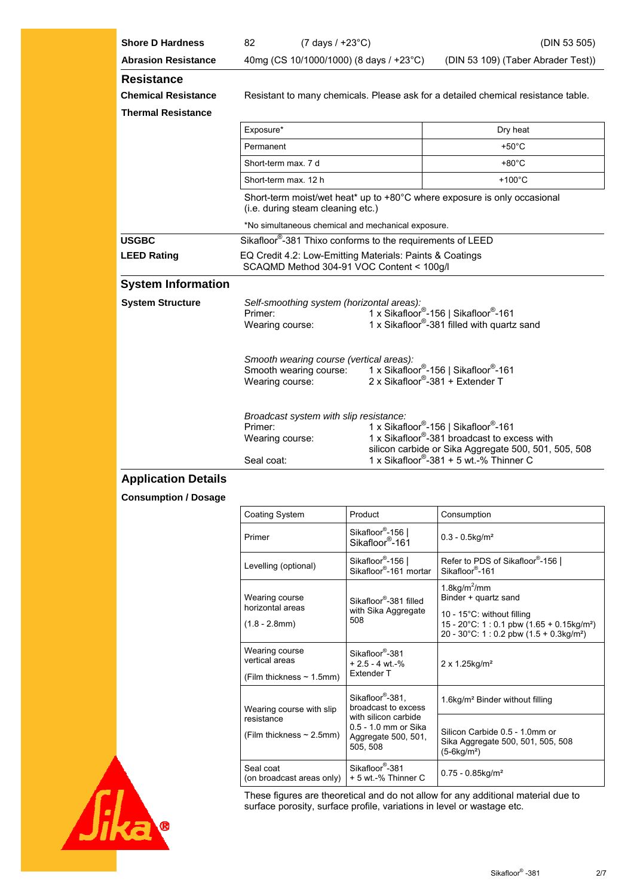| <b>Shore D Hardness</b>                                                      | 82                                                                                                    | $(7 \text{ days} / +23^{\circ} \text{C})$ |  | (DIN 53 505)                                                                                                                                                                                                                |
|------------------------------------------------------------------------------|-------------------------------------------------------------------------------------------------------|-------------------------------------------|--|-----------------------------------------------------------------------------------------------------------------------------------------------------------------------------------------------------------------------------|
| <b>Abrasion Resistance</b>                                                   |                                                                                                       | 40mg (CS 10/1000/1000) (8 days / +23°C)   |  | (DIN 53 109) (Taber Abrader Test))                                                                                                                                                                                          |
| <b>Resistance</b><br><b>Chemical Resistance</b><br><b>Thermal Resistance</b> | Resistant to many chemicals. Please ask for a detailed chemical resistance table.                     |                                           |  |                                                                                                                                                                                                                             |
|                                                                              | Exposure*                                                                                             |                                           |  | Dry heat                                                                                                                                                                                                                    |
|                                                                              | Permanent                                                                                             |                                           |  | $+50^{\circ}$ C                                                                                                                                                                                                             |
|                                                                              | Short-term max, 7 d                                                                                   |                                           |  | $+80^{\circ}$ C                                                                                                                                                                                                             |
|                                                                              | Short-term max, 12 h                                                                                  |                                           |  | $+100^{\circ}$ C                                                                                                                                                                                                            |
|                                                                              |                                                                                                       | (i.e. during steam cleaning etc.)         |  | Short-term moist/wet heat* up to $+80^{\circ}$ C where exposure is only occasional                                                                                                                                          |
|                                                                              | *No simultaneous chemical and mechanical exposure.                                                    |                                           |  |                                                                                                                                                                                                                             |
| <b>USGBC</b>                                                                 | Sikafloor®-381 Thixo conforms to the requirements of LEED                                             |                                           |  |                                                                                                                                                                                                                             |
| <b>LEED Rating</b>                                                           | EQ Credit 4.2: Low-Emitting Materials: Paints & Coatings<br>SCAQMD Method 304-91 VOC Content < 100g/l |                                           |  |                                                                                                                                                                                                                             |
| <b>System Information</b>                                                    |                                                                                                       |                                           |  |                                                                                                                                                                                                                             |
| <b>System Structure</b>                                                      | Primer:<br>Wearing course:                                                                            | Self-smoothing system (horizontal areas): |  | 1 x Sikafloor <sup>®</sup> -156   Sikafloor <sup>®</sup> -161<br>1 x Sikafloor <sup>®</sup> -381 filled with quartz sand                                                                                                    |
|                                                                              | Wearing course:                                                                                       | Smooth wearing course (vertical areas):   |  | Smooth wearing course: 1 x Sikafloor®-156   Sikafloor®-161<br>2 x Sikafloor®-381 + Extender T                                                                                                                               |
|                                                                              | Primer:<br>Wearing course:<br>Seal coat:                                                              | Broadcast system with slip resistance:    |  | 1 x Sikafloor <sup>®</sup> -156   Sikafloor <sup>®</sup> -161<br>1 x Sikafloor <sup>®</sup> -381 broadcast to excess with<br>silicon carbide or Sika Aggregate 500, 501, 505, 508<br>1 x Sikafloor®-381 + 5 wt.-% Thinner C |

## **Application Details**

### **Consumption / Dosage**

| Coating System                              | Product                                                                         | Consumption                                                                                                                                  |  |  |
|---------------------------------------------|---------------------------------------------------------------------------------|----------------------------------------------------------------------------------------------------------------------------------------------|--|--|
| Primer                                      | Sikafloor <sup>®</sup> -156  <br>Sikafloor <sup>®</sup> -161                    | $0.3 - 0.5$ kg/m <sup>2</sup>                                                                                                                |  |  |
| Levelling (optional)                        | Sikafloor <sup>®</sup> -156  <br>Sikafloor®-161 mortar                          | Refer to PDS of Sikafloor®-156  <br>Sikafloor®-161                                                                                           |  |  |
| Wearing course                              | Sikafloor <sup>®</sup> -381 filled                                              | 1.8kg/ $m^2$ /mm<br>Binder + quartz sand                                                                                                     |  |  |
| horizontal areas<br>$(1.8 - 2.8$ mm $)$     | with Sika Aggregate<br>508                                                      | 10 - 15°C: without filling<br>15 - 20°C: 1 : 0.1 pbw (1.65 + 0.15kg/m <sup>2</sup> )<br>20 - 30°C: 1 : 0.2 pbw (1.5 + 0.3kg/m <sup>2</sup> ) |  |  |
| Wearing course<br>vertical areas            | Sikafloor <sup>®</sup> -381<br>$+2.5 - 4$ wt $-$ %                              | $2 \times 1.25$ kg/m <sup>2</sup>                                                                                                            |  |  |
| (Film thickness $\sim$ 1.5mm)               | Extender T                                                                      |                                                                                                                                              |  |  |
| Wearing course with slip                    | Sikafloor <sup>®</sup> -381.<br>broadcast to excess                             | 1.6kg/m <sup>2</sup> Binder without filling                                                                                                  |  |  |
| resistance<br>(Film thickness $\sim$ 2.5mm) | with silicon carbide<br>0.5 - 1.0 mm or Sika<br>Aggregate 500, 501,<br>505, 508 | Silicon Carbide 0.5 - 1.0mm or<br>Sika Aggregate 500, 501, 505, 508<br>$(5-6kg/m2)$                                                          |  |  |
| Seal coat<br>(on broadcast areas only)      | Sikafloor <sup>®</sup> -381<br>+ 5 wt -% Thinner C                              | $0.75 - 0.85$ kg/m <sup>2</sup>                                                                                                              |  |  |



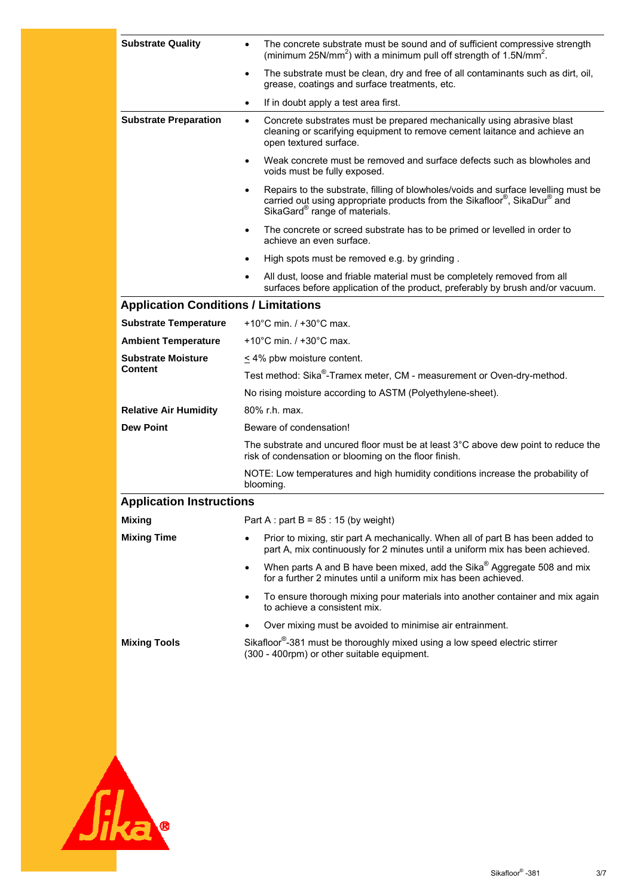| <b>Substrate Quality</b>                    | The concrete substrate must be sound and of sufficient compressive strength<br>$\bullet$<br>(minimum 25N/mm <sup>2</sup> ) with a minimum pull off strength of 1.5N/mm <sup>2</sup> .                                    |  |  |  |
|---------------------------------------------|--------------------------------------------------------------------------------------------------------------------------------------------------------------------------------------------------------------------------|--|--|--|
|                                             | The substrate must be clean, dry and free of all contaminants such as dirt, oil,<br>$\bullet$<br>grease, coatings and surface treatments, etc.                                                                           |  |  |  |
|                                             | If in doubt apply a test area first.<br>$\bullet$                                                                                                                                                                        |  |  |  |
| <b>Substrate Preparation</b>                | Concrete substrates must be prepared mechanically using abrasive blast<br>$\bullet$<br>cleaning or scarifying equipment to remove cement laitance and achieve an<br>open textured surface.                               |  |  |  |
|                                             | Weak concrete must be removed and surface defects such as blowholes and<br>$\bullet$<br>voids must be fully exposed.                                                                                                     |  |  |  |
|                                             | Repairs to the substrate, filling of blowholes/voids and surface levelling must be<br>$\bullet$<br>carried out using appropriate products from the Sikafloor®, SikaDur® and<br>SikaGard <sup>®</sup> range of materials. |  |  |  |
|                                             | The concrete or screed substrate has to be primed or levelled in order to<br>$\bullet$<br>achieve an even surface.                                                                                                       |  |  |  |
|                                             | High spots must be removed e.g. by grinding.<br>$\bullet$                                                                                                                                                                |  |  |  |
|                                             | All dust, loose and friable material must be completely removed from all<br>$\bullet$<br>surfaces before application of the product, preferably by brush and/or vacuum.                                                  |  |  |  |
| <b>Application Conditions / Limitations</b> |                                                                                                                                                                                                                          |  |  |  |
| <b>Substrate Temperature</b>                | +10 $^{\circ}$ C min. / +30 $^{\circ}$ C max.                                                                                                                                                                            |  |  |  |
| <b>Ambient Temperature</b>                  | +10 $^{\circ}$ C min. / +30 $^{\circ}$ C max.                                                                                                                                                                            |  |  |  |
| <b>Substrate Moisture</b>                   | < 4% pbw moisture content.                                                                                                                                                                                               |  |  |  |
| <b>Content</b>                              | Test method: Sika®-Tramex meter, CM - measurement or Oven-dry-method.                                                                                                                                                    |  |  |  |
|                                             | No rising moisture according to ASTM (Polyethylene-sheet).                                                                                                                                                               |  |  |  |
| <b>Relative Air Humidity</b>                | 80% r.h. max.                                                                                                                                                                                                            |  |  |  |
| <b>Dew Point</b>                            | Beware of condensation!                                                                                                                                                                                                  |  |  |  |
|                                             | The substrate and uncured floor must be at least $3^{\circ}$ C above dew point to reduce the<br>risk of condensation or blooming on the floor finish.                                                                    |  |  |  |
|                                             | NOTE: Low temperatures and high humidity conditions increase the probability of<br>blooming.                                                                                                                             |  |  |  |
| <b>Application Instructions</b>             |                                                                                                                                                                                                                          |  |  |  |
| <b>Mixing</b>                               | Part A : part B = $85:15$ (by weight)                                                                                                                                                                                    |  |  |  |
| <b>Mixing Time</b>                          | Prior to mixing, stir part A mechanically. When all of part B has been added to<br>part A, mix continuously for 2 minutes until a uniform mix has been achieved.                                                         |  |  |  |
|                                             | When parts A and B have been mixed, add the Sika® Aggregate 508 and mix<br>$\bullet$<br>for a further 2 minutes until a uniform mix has been achieved.                                                                   |  |  |  |
|                                             | To ensure thorough mixing pour materials into another container and mix again<br>$\bullet$<br>to achieve a consistent mix.                                                                                               |  |  |  |
|                                             | Over mixing must be avoided to minimise air entrainment.                                                                                                                                                                 |  |  |  |
| <b>Mixing Tools</b>                         | Sikafloor <sup>®</sup> -381 must be thoroughly mixed using a low speed electric stirrer<br>(300 - 400rpm) or other suitable equipment.                                                                                   |  |  |  |
|                                             |                                                                                                                                                                                                                          |  |  |  |

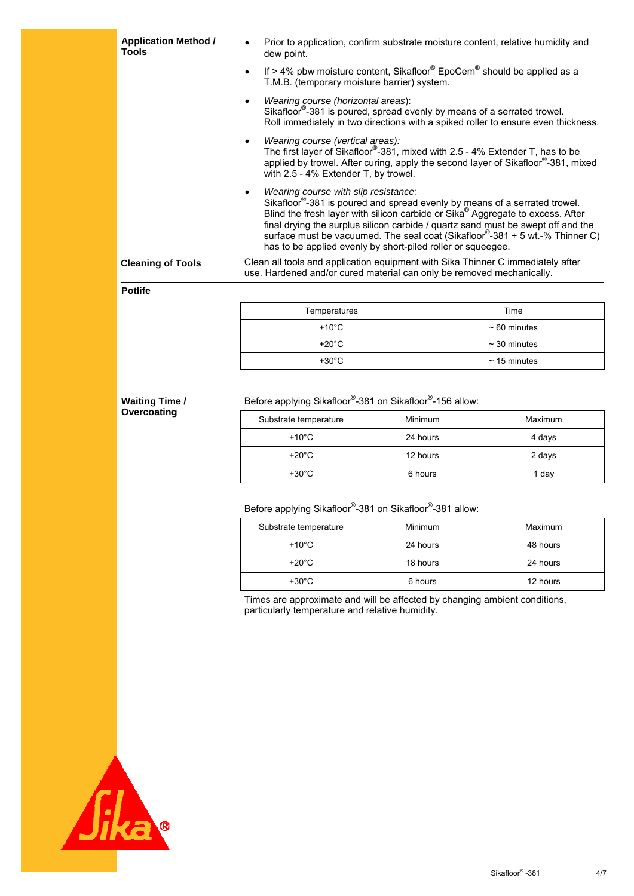| <b>Application Method /</b><br><b>Tools</b> | Prior to application, confirm substrate moisture content, relative humidity and<br>dew point.                                                                                                                                                                                                                                                                                                                                                                   |                                                                                   |  |  |
|---------------------------------------------|-----------------------------------------------------------------------------------------------------------------------------------------------------------------------------------------------------------------------------------------------------------------------------------------------------------------------------------------------------------------------------------------------------------------------------------------------------------------|-----------------------------------------------------------------------------------|--|--|
|                                             | If $> 4\%$ pbw moisture content, Sikafloor <sup>®</sup> EpoCem <sup>®</sup> should be applied as a<br>$\bullet$<br>T.M.B. (temporary moisture barrier) system.                                                                                                                                                                                                                                                                                                  |                                                                                   |  |  |
|                                             | Wearing course (horizontal areas):<br>Sikafloor <sup>®</sup> -381 is poured, spread evenly by means of a serrated trowel.                                                                                                                                                                                                                                                                                                                                       | Roll immediately in two directions with a spiked roller to ensure even thickness. |  |  |
|                                             | Wearing course (vertical areas):<br>$\bullet$<br>The first layer of Sikafloor <sup>®</sup> -381, mixed with 2.5 - 4% Extender T, has to be<br>applied by trowel. After curing, apply the second layer of Sikafloor <sup>®</sup> -381, mixed<br>with 2.5 - 4% Extender T, by trowel.                                                                                                                                                                             |                                                                                   |  |  |
|                                             | Wearing course with slip resistance:<br>Sikafloor <sup>®</sup> -381 is poured and spread evenly by means of a serrated trowel.<br>Blind the fresh layer with silicon carbide or Sika <sup>®</sup> Aggregate to excess. After<br>final drying the surplus silicon carbide / quartz sand must be swept off and the<br>surface must be vacuumed. The seal coat (Sikafloor®-381 + 5 wt.-% Thinner C)<br>has to be applied evenly by short-piled roller or squeegee. |                                                                                   |  |  |
| <b>Cleaning of Tools</b>                    | Clean all tools and application equipment with Sika Thinner C immediately after<br>use. Hardened and/or cured material can only be removed mechanically.                                                                                                                                                                                                                                                                                                        |                                                                                   |  |  |
| <b>Potlife</b>                              |                                                                                                                                                                                                                                                                                                                                                                                                                                                                 |                                                                                   |  |  |
|                                             | Temperatures                                                                                                                                                                                                                                                                                                                                                                                                                                                    | Time                                                                              |  |  |
|                                             | $\sim$ $\sim$ $\sim$                                                                                                                                                                                                                                                                                                                                                                                                                                            |                                                                                   |  |  |

| $+10^{\circ}$ C | $~\sim 60$ minutes |
|-----------------|--------------------|
| $+20^{\circ}$ C | $\sim$ 30 minutes  |
| $+30^{\circ}$ C | $\sim$ 15 minutes  |
|                 |                    |

| <b>Waiting Time /</b> |                       | Before applying Sikafloor®-381 on Sikafloor®-156 allow: |         |  |  |
|-----------------------|-----------------------|---------------------------------------------------------|---------|--|--|
| Overcoating           | Substrate temperature | Minimum                                                 | Maximum |  |  |
|                       | $+10^{\circ}$ C       | 24 hours                                                | 4 days  |  |  |
|                       | +20 $^{\circ}$ C      | 12 hours                                                | 2 days  |  |  |
|                       | $+30^{\circ}$ C       | 6 hours                                                 | 1 day   |  |  |
|                       |                       |                                                         |         |  |  |

#### Before applying Sikafloor®-381 on Sikafloor®-381 allow:

| Substrate temperature | <b>Minimum</b> | Maximum  |
|-----------------------|----------------|----------|
| $+10^{\circ}$ C       | 24 hours       | 48 hours |
| $+20^{\circ}$ C       | 18 hours       | 24 hours |
| $+30^{\circ}$ C       | 6 hours        | 12 hours |

Times are approximate and will be affected by changing ambient conditions, particularly temperature and relative humidity.

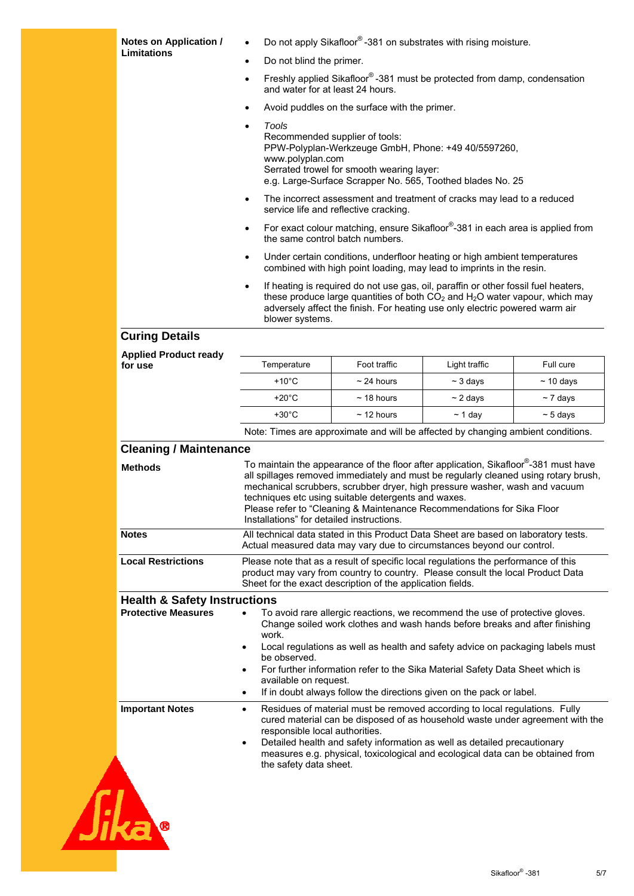| Notes on Application /                  |                                                                                                                                                                                                                                            | Do not apply Sikafloor®-381 on substrates with rising moisture.                                                                                                                                                                                                                                                                                                                                        |               |                |
|-----------------------------------------|--------------------------------------------------------------------------------------------------------------------------------------------------------------------------------------------------------------------------------------------|--------------------------------------------------------------------------------------------------------------------------------------------------------------------------------------------------------------------------------------------------------------------------------------------------------------------------------------------------------------------------------------------------------|---------------|----------------|
| <b>Limitations</b>                      | Do not blind the primer.                                                                                                                                                                                                                   |                                                                                                                                                                                                                                                                                                                                                                                                        |               |                |
|                                         | $\bullet$                                                                                                                                                                                                                                  | Freshly applied Sikafloor®-381 must be protected from damp, condensation                                                                                                                                                                                                                                                                                                                               |               |                |
|                                         | and water for at least 24 hours.                                                                                                                                                                                                           |                                                                                                                                                                                                                                                                                                                                                                                                        |               |                |
|                                         | Avoid puddles on the surface with the primer.<br>$\bullet$                                                                                                                                                                                 |                                                                                                                                                                                                                                                                                                                                                                                                        |               |                |
|                                         | Tools<br>$\bullet$<br>Recommended supplier of tools:<br>PPW-Polyplan-Werkzeuge GmbH, Phone: +49 40/5597260,<br>www.polyplan.com<br>Serrated trowel for smooth wearing layer:<br>e.g. Large-Surface Scrapper No. 565, Toothed blades No. 25 |                                                                                                                                                                                                                                                                                                                                                                                                        |               |                |
|                                         | $\bullet$                                                                                                                                                                                                                                  | The incorrect assessment and treatment of cracks may lead to a reduced<br>service life and reflective cracking.                                                                                                                                                                                                                                                                                        |               |                |
|                                         | $\bullet$                                                                                                                                                                                                                                  | For exact colour matching, ensure Sikafloor®-381 in each area is applied from<br>the same control batch numbers.                                                                                                                                                                                                                                                                                       |               |                |
|                                         | $\bullet$                                                                                                                                                                                                                                  | Under certain conditions, underfloor heating or high ambient temperatures<br>combined with high point loading, may lead to imprints in the resin.                                                                                                                                                                                                                                                      |               |                |
|                                         | $\bullet$<br>blower systems.                                                                                                                                                                                                               | If heating is required do not use gas, oil, paraffin or other fossil fuel heaters,<br>these produce large quantities of both $CO2$ and $H2O$ water vapour, which may<br>adversely affect the finish. For heating use only electric powered warm air                                                                                                                                                    |               |                |
| <b>Curing Details</b>                   |                                                                                                                                                                                                                                            |                                                                                                                                                                                                                                                                                                                                                                                                        |               |                |
| <b>Applied Product ready</b><br>for use | Temperature                                                                                                                                                                                                                                | Foot traffic                                                                                                                                                                                                                                                                                                                                                                                           | Light traffic | Full cure      |
|                                         | $+10^{\circ}$ C                                                                                                                                                                                                                            | $\sim$ 24 hours                                                                                                                                                                                                                                                                                                                                                                                        | $\sim$ 3 days | $\sim$ 10 days |
|                                         | $+20^{\circ}$ C                                                                                                                                                                                                                            | $\sim$ 18 hours                                                                                                                                                                                                                                                                                                                                                                                        | $\sim$ 2 days | $\sim$ 7 days  |
|                                         | $+30^{\circ}$ C                                                                                                                                                                                                                            | $\sim$ 12 hours                                                                                                                                                                                                                                                                                                                                                                                        | $~\sim$ 1 day | $\sim$ 5 days  |
|                                         |                                                                                                                                                                                                                                            | Note: Times are approximate and will be affected by changing ambient conditions.                                                                                                                                                                                                                                                                                                                       |               |                |
| <b>Cleaning / Maintenance</b>           |                                                                                                                                                                                                                                            |                                                                                                                                                                                                                                                                                                                                                                                                        |               |                |
| <b>Methods</b>                          | Installations" for detailed instructions.                                                                                                                                                                                                  | To maintain the appearance of the floor after application, Sikafloor®-381 must have<br>all spillages removed immediately and must be regularly cleaned using rotary brush,<br>mechanical scrubbers, scrubber dryer, high pressure washer, wash and vacuum<br>techniques etc using suitable detergents and waxes.<br>Please refer to "Cleaning & Maintenance Recommendations for Sika Floor             |               |                |
| <b>Notes</b>                            | All technical data stated in this Product Data Sheet are based on laboratory tests.<br>Actual measured data may vary due to circumstances beyond our control.                                                                              |                                                                                                                                                                                                                                                                                                                                                                                                        |               |                |
| <b>Local Restrictions</b>               | Please note that as a result of specific local regulations the performance of this<br>product may vary from country to country. Please consult the local Product Data<br>Sheet for the exact description of the application fields.        |                                                                                                                                                                                                                                                                                                                                                                                                        |               |                |
| <b>Health &amp; Safety Instructions</b> |                                                                                                                                                                                                                                            |                                                                                                                                                                                                                                                                                                                                                                                                        |               |                |
| <b>Protective Measures</b>              | work.<br>$\bullet$<br>be observed.<br>available on request.<br>$\bullet$                                                                                                                                                                   | To avoid rare allergic reactions, we recommend the use of protective gloves.<br>Change soiled work clothes and wash hands before breaks and after finishing<br>Local regulations as well as health and safety advice on packaging labels must<br>For further information refer to the Sika Material Safety Data Sheet which is<br>If in doubt always follow the directions given on the pack or label. |               |                |
| <b>Important Notes</b>                  | $\bullet$<br>responsible local authorities.<br>$\bullet$                                                                                                                                                                                   | Residues of material must be removed according to local regulations. Fully<br>cured material can be disposed of as household waste under agreement with the<br>Detailed health and safety information as well as detailed precautionary<br>measures e.g. physical, toxicological and ecological data can be obtained from                                                                              |               |                |
|                                         | the safety data sheet.                                                                                                                                                                                                                     |                                                                                                                                                                                                                                                                                                                                                                                                        |               |                |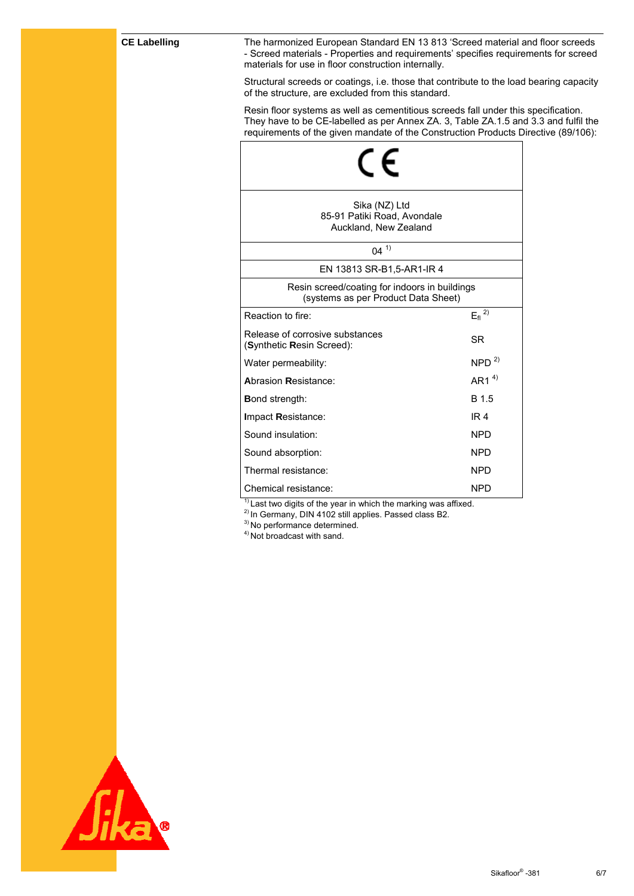#### **CE Labelling**

The harmonized European Standard EN 13 813 'Screed material and floor screeds - Screed materials - Properties and requirements' specifies requirements for screed materials for use in floor construction internally.

Structural screeds or coatings, i.e. those that contribute to the load bearing capacity of the structure, are excluded from this standard.

Resin floor systems as well as cementitious screeds fall under this specification. They have to be CE-labelled as per Annex ZA. 3, Table ZA.1.5 and 3.3 and fulfil the requirements of the given mandate of the Construction Products Directive (89/106):

| Sika (NZ) Ltd<br>85-91 Patiki Road, Avondale<br>Auckland, New Zealand                |                            |
|--------------------------------------------------------------------------------------|----------------------------|
| $04^{1}$                                                                             |                            |
| EN 13813 SR-B1,5-AR1-IR 4                                                            |                            |
| Resin screed/coating for indoors in buildings<br>(systems as per Product Data Sheet) |                            |
| Reaction to fire:                                                                    | $E_{\rm fl}$ <sup>2)</sup> |
| Release of corrosive substances<br>(Synthetic Resin Screed):                         | SR                         |
| Water permeability:                                                                  | NPD <sup>2</sup>           |
| <b>Abrasion Resistance:</b>                                                          | AR1 $4$ <sup>4)</sup>      |
| <b>Bond strength:</b>                                                                | B 1.5                      |
| Impact Resistance:                                                                   | IR <sub>4</sub>            |
| Sound insulation:                                                                    | <b>NPD</b>                 |
| Sound absorption:                                                                    | <b>NPD</b>                 |
| Thermal resistance:                                                                  | <b>NPD</b>                 |
| Chemical resistance:                                                                 | <b>NPD</b>                 |

 $1)$  Last two digits of the year in which the marking was affixed.

<sup>2)</sup> In Germany, DIN 4102 still applies. Passed class B2.

<sup>3)</sup> No performance determined.

4) Not broadcast with sand.